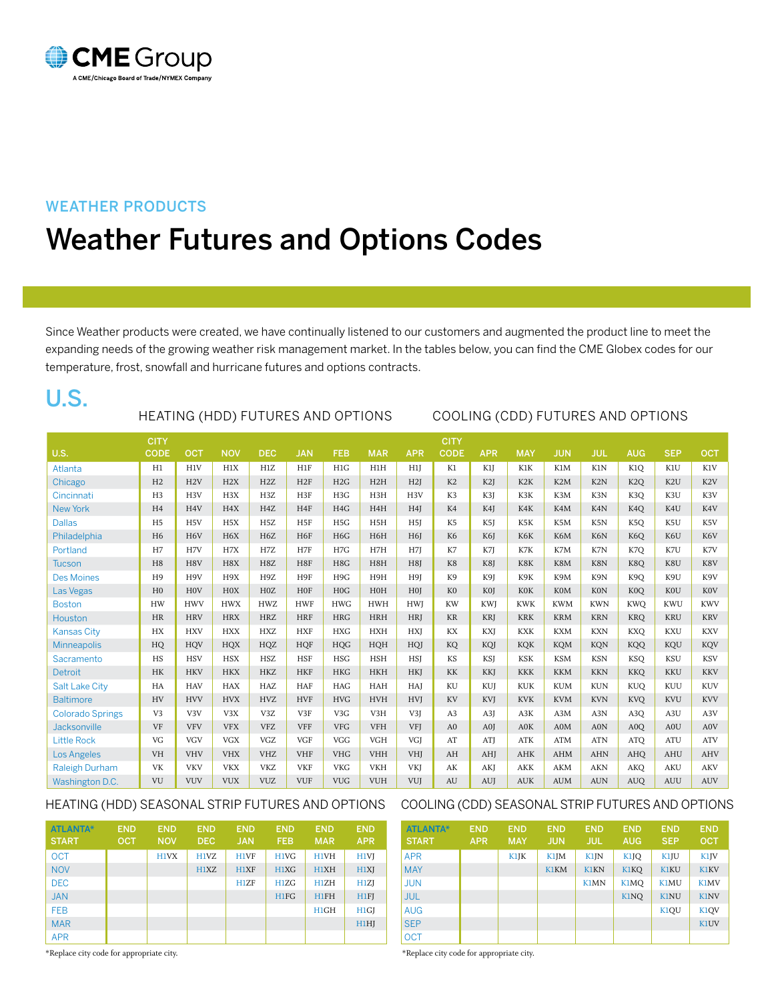

### WEATHER PRODUCTS

# Weather Futures and Options Codes

Since Weather products were created, we have continually listened to our customers and augmented the product line to meet the expanding needs of the growing weather risk management market. In the tables below, you can find the CME Globex codes for our temperature, frost, snowfall and hurricane futures and options contracts.

## U.S.

### Heating (HDD) futures AND OPTIONS Cooling (CDD) futures AND OPTIONS

|                         | <b>CITY</b>    |                  |                  |                  |                 |                  |                  |                  | <b>CITY</b>            |            |                  |                  |            |                  |                  |                  |
|-------------------------|----------------|------------------|------------------|------------------|-----------------|------------------|------------------|------------------|------------------------|------------|------------------|------------------|------------|------------------|------------------|------------------|
| <b>U.S.</b>             | <b>CODE</b>    | OCT              | <b>NOV</b>       | <b>DEC</b>       | <b>JAN</b>      | <b>FEB</b>       | <b>MAR</b>       | <b>APR</b>       | <b>CODE</b>            | <b>APR</b> | <b>MAY</b>       | <b>JUN</b>       | <b>JUL</b> | <b>AUG</b>       | <b>SEP</b>       | <b>OCT</b>       |
| Atlanta                 | H1             | H1V              | H1X              | H1Z              | H1F             | H1G              | H1H              | H1               | K1                     | K1J        | K1K              | K1M              | K1N        | K1O              | K1U              | K1V              |
| Chicago                 | H <sub>2</sub> | H2V              | H2X              | H2Z              | H2F             | H2G              | H2H              | H2I              | K2                     | K2J        | K <sub>2</sub> K | K <sub>2</sub> M | K2N        | K <sub>2Q</sub>  | K <sub>2</sub> U | K <sub>2</sub> V |
| Cincinnati              | H <sub>3</sub> | H <sub>3</sub> V | H3X              | H3Z              | H3F             | H3G              | H3H              | H3V              | K3                     | K3J        | K3K              | K3M              | K3N        | K <sub>3</sub> O | K3U              | K3V              |
| New York                | H <sub>4</sub> | H <sub>4</sub> V | H <sub>4</sub> X | H <sub>4</sub> Z | H <sub>4F</sub> | H <sub>4</sub> G | H4H              | H <sub>4</sub> J | K4                     | K4J        | K4K              | K4M              | K4N        | K <sub>4</sub> O | K4U              | K4V              |
| <b>Dallas</b>           | H <sub>5</sub> | H <sub>5</sub> V | H <sub>5</sub> X | H <sub>5</sub> Z | H <sub>5F</sub> | H <sub>5</sub> G | H <sub>5</sub> H | H <sub>5</sub> J | K <sub>5</sub>         | K5J        | K5K              | K5M              | K5N        | K5Q              | K5U              | K5V              |
| Philadelphia            | H <sub>6</sub> | H <sub>6</sub> V | H <sub>6</sub> X | H <sub>6</sub> Z | H <sub>6F</sub> | H6G              | H6H              | H <sub>6</sub> J | K <sub>6</sub>         | K6J        | K6K              | K6M              | K6N        | K <sub>6</sub> O | K6U              | K6V              |
| Portland                | H7             | H7V              | H7X              | H7Z              | H7F             | H7G              | H7H              | H7J              | K7                     | K7J        | K7K              | K7M              | K7N        | K7O              | K7U              | K7V              |
| <b>Tucson</b>           | H <sub>8</sub> | H8V              | H8X              | H8Z              | H8F             | H8G              | H8H              | H8J              | K8                     | K8J        | K8K              | K8M              | K8N        | K8O              | K8U              | K8V              |
| <b>Des Moines</b>       | H <sub>9</sub> | H <sub>9V</sub>  | H9X              | H <sub>9</sub> Z | H9F             | H9G              | H9H              | H9J              | K <sub>9</sub>         | K9J        | K9K              | K9M              | K9N        | K <sub>9</sub> O | K9U              | K9V              |
| Las Vegas               | H <sub>0</sub> | H <sub>0</sub> V | H0X              | H0Z              | <b>HOF</b>      | H <sub>0</sub> G | HOH              | H <sub>0</sub>   | K <sub>0</sub>         | KOJ        | <b>KOK</b>       | <b>K0M</b>       | <b>K0N</b> | K <sub>0</sub> O | <b>KOU</b>       | <b>KOV</b>       |
| <b>Boston</b>           | <b>HW</b>      | <b>HWV</b>       | <b>HWX</b>       | <b>HWZ</b>       | <b>HWF</b>      | <b>HWG</b>       | <b>HWH</b>       | <b>HWI</b>       | <b>KW</b>              | <b>KWI</b> | <b>KWK</b>       | <b>KWM</b>       | <b>KWN</b> | <b>KWO</b>       | <b>KWU</b>       | <b>KWV</b>       |
| Houston                 | <b>HR</b>      | <b>HRV</b>       | <b>HRX</b>       | <b>HRZ</b>       | <b>HRF</b>      | <b>HRG</b>       | <b>HRH</b>       | <b>HRJ</b>       | <b>KR</b>              | <b>KRJ</b> | <b>KRK</b>       | <b>KRM</b>       | <b>KRN</b> | <b>KRO</b>       | <b>KRU</b>       | <b>KRV</b>       |
| <b>Kansas City</b>      | HX             | <b>HXV</b>       | <b>HXX</b>       | <b>HXZ</b>       | ${\rm HXF}$     | <b>HXG</b>       | <b>HXH</b>       | <b>HXI</b>       | KX                     | <b>KXI</b> | <b>KXK</b>       | <b>KXM</b>       | <b>KXN</b> | KXO              | <b>KXU</b>       | <b>KXV</b>       |
| <b>Minneapolis</b>      | HQ             | <b>HOV</b>       | <b>HQX</b>       | HQZ              | <b>HQF</b>      | <b>HQG</b>       | HQH              | HQJ              | KQ                     | KQJ        | <b>KQK</b>       | <b>KQM</b>       | <b>KQN</b> | <b>KQQ</b>       | KQU              | <b>KQV</b>       |
| Sacramento              | HS             | <b>HSV</b>       | <b>HSX</b>       | <b>HSZ</b>       | <b>HSF</b>      | <b>HSG</b>       | <b>HSH</b>       | <b>HSI</b>       | KS                     | <b>KSJ</b> | <b>KSK</b>       | <b>KSM</b>       | <b>KSN</b> | <b>KSO</b>       | <b>KSU</b>       | <b>KSV</b>       |
| <b>Detroit</b>          | HK             | <b>HKV</b>       | <b>HKX</b>       | <b>HKZ</b>       | <b>HKF</b>      | <b>HKG</b>       | <b>HKH</b>       | <b>HKJ</b>       | KK                     | <b>KKJ</b> | <b>KKK</b>       | <b>KKM</b>       | <b>KKN</b> | <b>KKQ</b>       | <b>KKU</b>       | <b>KKV</b>       |
| <b>Salt Lake City</b>   | HA             | <b>HAV</b>       | <b>HAX</b>       | HAZ              | HAF             | <b>HAG</b>       | <b>HAH</b>       | HAJ              | KU                     | KUJ        | <b>KUK</b>       | <b>KUM</b>       | <b>KUN</b> | <b>KUO</b>       | KUU              | <b>KUV</b>       |
| <b>Baltimore</b>        | HV             | <b>HVV</b>       | <b>HVX</b>       | <b>HVZ</b>       | <b>HVF</b>      | <b>HVG</b>       | <b>HVH</b>       | <b>HVI</b>       | KV                     | KVJ        | <b>KVK</b>       | <b>KVM</b>       | <b>KVN</b> | <b>KVO</b>       | <b>KVU</b>       | <b>KVV</b>       |
| <b>Colorado Springs</b> | V <sub>3</sub> | V <sub>3</sub> V | V3X              | V3Z              | V3F             | V <sub>3</sub> G | V3H              | V3J              | A3                     | A3I        | A3K              | A3M              | A3N        | A <sub>3</sub> O | A3U              | A3V              |
| <b>Jacksonville</b>     | <b>VF</b>      | <b>VFV</b>       | <b>VFX</b>       | <b>VFZ</b>       | <b>VFF</b>      | <b>VFG</b>       | <b>VFH</b>       | VFJ              | A <sub>0</sub>         | A0I        | A0K              | A0M              | A0N        | A <sub>0</sub> O | A0U              | A0V              |
| <b>Little Rock</b>      | VG             | <b>VGV</b>       | <b>VGX</b>       | <b>VGZ</b>       | <b>VGF</b>      | <b>VGG</b>       | <b>VGH</b>       | VGJ              | AT                     | ATJ        | <b>ATK</b>       | <b>ATM</b>       | <b>ATN</b> | <b>ATO</b>       | <b>ATU</b>       | <b>ATV</b>       |
| <b>Los Angeles</b>      | <b>VH</b>      | <b>VHV</b>       | <b>VHX</b>       | <b>VHZ</b>       | <b>VHF</b>      | <b>VHG</b>       | <b>VHH</b>       | <b>VHI</b>       | AH                     | AHJ        | <b>AHK</b>       | <b>AHM</b>       | <b>AHN</b> | AHO              | <b>AHU</b>       | <b>AHV</b>       |
| <b>Raleigh Durham</b>   | VK             | <b>VKV</b>       | <b>VKX</b>       | <b>VKZ</b>       | <b>VKF</b>      | <b>VKG</b>       | <b>VKH</b>       | <b>VKI</b>       | $\mathbf{A}\mathbf{K}$ | AKJ        | <b>AKK</b>       | <b>AKM</b>       | <b>AKN</b> | <b>AKO</b>       | <b>AKU</b>       | <b>AKV</b>       |
| Washington D.C.         | VU             | VUV              | <b>VUX</b>       | <b>VUZ</b>       | <b>VUF</b>      | <b>VUG</b>       | <b>VUH</b>       | VUJ              | AU                     | AUJ        | <b>AUK</b>       | <b>AUM</b>       | <b>AUN</b> | <b>AUQ</b>       | <b>AUU</b>       | <b>AUV</b>       |

### HEATING (HDD) SEASONAL STRIP FUTURES AND OPTIONS COOLING (CDD) SEASONAL STRIP FUTURES AND C

| <b>ATLANTA*</b><br><b>START</b> | <b>END</b><br><b>OCT</b> | <b>END</b><br><b>NOV</b> | <b>END</b><br><b>DEC</b> | <b>END</b><br><b>JAN</b> | <b>END</b><br><b>FEB</b> | <b>END</b><br><b>MAR</b> | <b>END</b><br><b>APR</b> |
|---------------------------------|--------------------------|--------------------------|--------------------------|--------------------------|--------------------------|--------------------------|--------------------------|
| <b>OCT</b>                      |                          | <b>H1VX</b>              | H1VZ                     | <b>H1VF</b>              | H <sub>1</sub> VG        | <b>H1VH</b>              | H1VJ                     |
| <b>NOV</b>                      |                          |                          | H1XZ                     | <b>H1XF</b>              | H1XG                     | <b>H1XH</b>              | H1XJ                     |
| <b>DEC</b>                      |                          |                          |                          | H <sub>1</sub> ZF        | H <sub>1</sub> ZG        | H1ZH                     | H1ZJ                     |
| <b>JAN</b>                      |                          |                          |                          |                          | H1FG                     | <b>H1FH</b>              | H1FJ                     |
| <b>FEB</b>                      |                          |                          |                          |                          |                          | H1GH                     | H <sub>1</sub> GJ        |
| <b>MAR</b>                      |                          |                          |                          |                          |                          |                          | H1HJ                     |
| <b>APR</b>                      |                          |                          |                          |                          |                          |                          |                          |

### \*Replace city code for appropriate city.

| <b>ATLANTA*</b><br><b>START</b> | <b>END</b><br><b>APR</b> | <b>END</b><br><b>MAY</b> | <b>END</b><br><b>JUN</b> | <b>END</b><br><b>JUL</b> | <b>END</b><br><b>AUG</b> | <b>END</b><br><b>SEP</b> | <b>END</b><br><b>OCT</b> |
|---------------------------------|--------------------------|--------------------------|--------------------------|--------------------------|--------------------------|--------------------------|--------------------------|
| <b>APR</b>                      |                          | K1JK                     | K1JM                     | <b>K1JN</b>              | K1JO                     | K1JU                     | K1JV                     |
| <b>MAY</b>                      |                          |                          | <b>K1KM</b>              | <b>K1KN</b>              | <b>K1KQ</b>              | <b>K1KU</b>              | <b>K1KV</b>              |
| <b>JUN</b>                      |                          |                          |                          | <b>K1MN</b>              | K1MO                     | <b>K1MU</b>              | <b>K1MV</b>              |
| <b>JUL</b>                      |                          |                          |                          |                          | K1NO                     | <b>K1NU</b>              | <b>K1NV</b>              |
| <b>AUG</b>                      |                          |                          |                          |                          |                          | K1OU                     | K1OV                     |
| <b>SEP</b>                      |                          |                          |                          |                          |                          |                          | <b>K1UV</b>              |
| <b>OCT</b>                      |                          |                          |                          |                          |                          |                          |                          |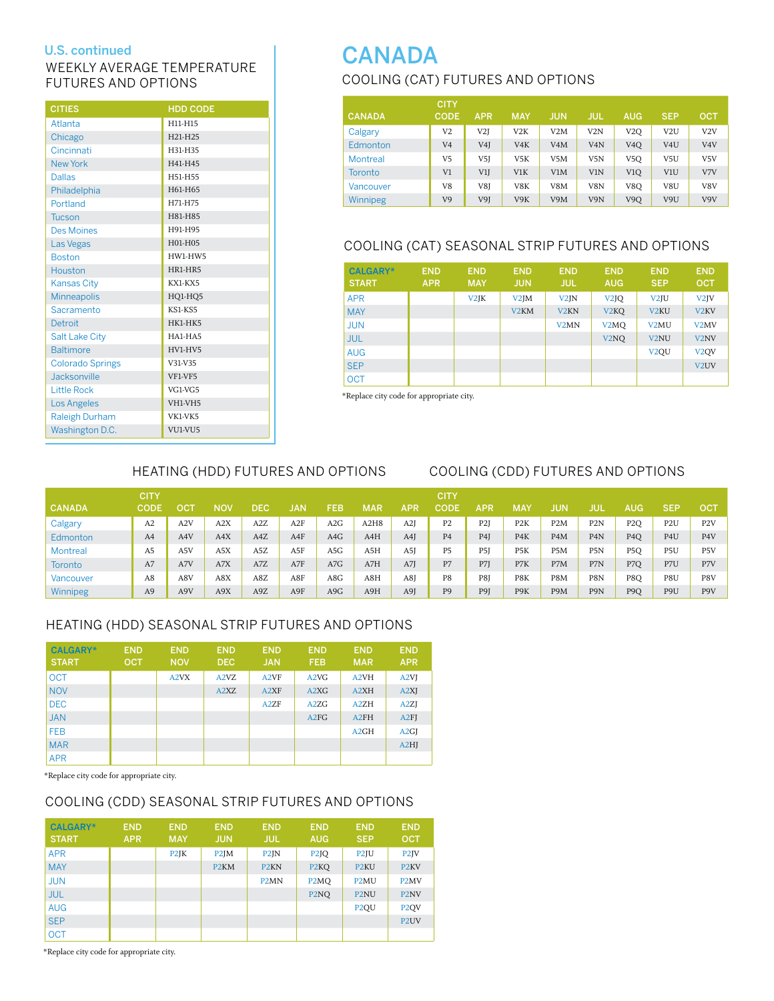### WEEKLY AVERAGE TEMPERATURE FUTURES AND OPTIONS

| <b>CITIES</b>           | <b>HDD CODE</b> |
|-------------------------|-----------------|
| Atlanta                 | H11-H15         |
| Chicago                 | H21-H25         |
| Cincinnati              | H31-H35         |
| <b>New York</b>         | H41-H45         |
| <b>Dallas</b>           | H51-H55         |
| Philadelphia            | H61-H65         |
| Portland                | H71-H75         |
| <b>Tucson</b>           | H81-H85         |
| <b>Des Moines</b>       | H91-H95         |
| Las Vegas               | H01-H05         |
| <b>Boston</b>           | HW1-HW5         |
| Houston                 | HR1-HR5         |
| <b>Kansas City</b>      | KX1-KX5         |
| Minneapolis             | HQ1-HQ5         |
| Sacramento              | KS1-KS5         |
| Detroit                 | HK1-HK5         |
| <b>Salt Lake City</b>   | HA1-HA5         |
| <b>Baltimore</b>        | HV1-HV5         |
| <b>Colorado Springs</b> | V31-V35         |
| Jacksonville            | VF1-VF5         |
| <b>Little Rock</b>      | VG1-VG5         |
| <b>Los Angeles</b>      | VH1-VH5         |
| <b>Raleigh Durham</b>   | VK1-VK5         |
| Washington D.C.         | VU1-VU5         |

### Cooling (CAT) Futures and Options U.S. continued **CANADA**

|               | <b>CITY</b>    |                  |                  |                  |                  |                  |                  |                  |
|---------------|----------------|------------------|------------------|------------------|------------------|------------------|------------------|------------------|
| <b>CANADA</b> | <b>CODE</b>    | <b>APR</b>       | <b>MAY</b>       | <b>JUN</b>       | JUL              | <b>AUG</b>       | <b>SEP</b>       | OCT              |
| Calgary       | V <sub>2</sub> | V2J              | V2K              | V2M              | V2N              | V2O              | V <sub>2</sub> U | V2V              |
| Edmonton      | V <sub>4</sub> | V <sub>4</sub> J | V <sub>4</sub> K | V <sub>4</sub> M | V <sub>4</sub> N | V <sub>4</sub> O | V <sub>4</sub> U | V <sub>4</sub> V |
| Montreal      | V5             | V5J              | V <sub>5</sub> K | V <sub>5</sub> M | V <sub>5</sub> N | V <sub>5</sub> O | V5U              | V <sub>5</sub> V |
| Toronto       | V1             | V1J              | V <sub>1</sub> K | V1M              | V <sub>1</sub> N | V <sub>1</sub> O | V <sub>1</sub> U | V7V              |
| Vancouver     | V8             | V8I              | V8K              | V8M              | V8N              | V8O              | V8U              | V8V              |
| Winnipeg      | V9             | V9J              | V9K              | V9M              | V9N              | V <sub>9</sub> O | V9U              | V9V              |

### COOLING (CAT) SEASONAL STRIP FUTURES and options

| <b>CALGARY*</b><br><b>START</b> | <b>END</b><br><b>APR</b> | <b>END</b><br><b>MAY</b> | <b>END</b><br><b>JUN</b> | <b>END</b><br><b>JUL</b> | <b>END</b><br><b>AUG</b>      | <b>END</b><br><b>SEP</b> | <b>END</b><br><b>OCT</b> |
|---------------------------------|--------------------------|--------------------------|--------------------------|--------------------------|-------------------------------|--------------------------|--------------------------|
| <b>APR</b>                      |                          | V2JK                     | V2JM                     | V <sub>2</sub> JN        | V <sub>2</sub> JQ             | V <sub>2</sub> JU        | V <sub>2</sub> JV        |
| <b>MAY</b>                      |                          |                          | V <sub>2</sub> KM        | V <sub>2</sub> KN        | V <sub>2</sub> KQ             | V <sub>2</sub> KU        | V <sub>2</sub> KV        |
| <b>JUN</b>                      |                          |                          |                          | V <sub>2</sub> MN        | V <sub>2</sub> M <sub>O</sub> | V <sub>2</sub> MU        | V <sub>2</sub> MV        |
| <b>JUL</b>                      |                          |                          |                          |                          | V <sub>2</sub> NO             | V <sub>2</sub> NU        | V <sub>2</sub> NV        |
| <b>AUG</b>                      |                          |                          |                          |                          |                               | V <sub>2</sub> OU        | V <sub>2</sub> OV        |
| <b>SEP</b>                      |                          |                          |                          |                          |                               |                          | V <sub>2</sub> UV        |
| <b>OCT</b>                      |                          |                          |                          |                          |                               |                          |                          |

\*Replace city code for appropriate city.

### Heating (HDD) futures AND OPTIONS Cooling (CDD) futures AND OPTIONS

### CITY CITY CANADA CODE OCT NOV DEC JAN FEB MAR APR CODE APR MAY JUN JUL AUG SEP OCT Calgary A2 A2V A2X A2Z A2F A2G A2H8 A2J P2 P2J P2K P2M P2N P2Q P2U P2V Edmonton A4 A4V A4X A4Z A4F A4G A4H A4J P4 P4J P4K P4M P4N P4Q P4U P4V Montreal A5 A5V A5X A5Z A5F A5G A5H A5J P5 P5J P5K P5M P5N P5Q P5U P5V Toronto A7 A7V A7X A7Z A7F A7G A7H A7J P7 P7J P7K P7M P7N P7Q P7U P7V Vancouver A8 A8V A8X A8Z A8F A8G A8H A8J P8 P8J P8K P8M P8N P8Q P8U P8V Winnipeg A9 A9V A9X A9Z A9F A9G A9H A9J P9 P9J P9K P9M P9N P9Q P9U P9V

### HEATING (HDD) SEASONAL STRIP FUTURES and options

| <b>CALGARY*</b><br><b>START</b> | <b>END</b><br><b>OCT</b> | <b>END</b><br><b>NOV</b> | <b>END</b><br><b>DEC</b>      | <b>END</b><br><b>JAN</b> | <b>END</b><br><b>FEB</b>      | <b>END</b><br><b>MAR</b> | <b>END</b><br><b>APR</b> |
|---------------------------------|--------------------------|--------------------------|-------------------------------|--------------------------|-------------------------------|--------------------------|--------------------------|
| <b>OCT</b>                      |                          | A <sub>2</sub> VX        | A <sub>2</sub> V <sub>Z</sub> | A <sub>2</sub> VF        | A <sub>2</sub> V <sub>G</sub> | A <sub>2</sub> VH        | A <sub>2</sub> VJ        |
| <b>NOV</b>                      |                          |                          | A <sub>2</sub> X <sub>Z</sub> | A <sub>2</sub> XF        | A <sub>2</sub> X <sub>G</sub> | A <sub>2</sub> XH        | A2XJ                     |
| <b>DEC</b>                      |                          |                          |                               | A2ZF                     | A2ZG                          | A2ZH                     | A2ZJ                     |
| <b>JAN</b>                      |                          |                          |                               |                          | A2FG                          | A2FH                     | A2FI                     |
| <b>FEB</b>                      |                          |                          |                               |                          |                               | A2GH                     | A2GI                     |
| <b>MAR</b>                      |                          |                          |                               |                          |                               |                          | A2HI                     |
| <b>APR</b>                      |                          |                          |                               |                          |                               |                          |                          |

\*Replace city code for appropriate city.

### COOLING (CDD) SEASONAL STRIP FUTURES and options

| <b>CALGARY*</b><br><b>START</b> | <b>END</b><br><b>APR</b> | <b>END</b><br><b>MAY</b> | <b>END</b><br><b>JUN</b> | <b>END</b><br><b>JUL</b>      | <b>END</b><br><b>AUG</b>      | <b>END</b><br><b>SEP</b> | <b>END</b><br><b>OCT</b> |
|---------------------------------|--------------------------|--------------------------|--------------------------|-------------------------------|-------------------------------|--------------------------|--------------------------|
| <b>APR</b>                      |                          | P <sub>2</sub> JK        | P <sub>2</sub> JM        | P <sub>2</sub> JN             | P <sub>2</sub> JQ             | P <sub>2</sub> JU        | P <sub>2</sub> JV        |
| <b>MAY</b>                      |                          |                          | P <sub>2</sub> KM        | P <sub>2</sub> KN             | P <sub>2</sub> KQ             | P <sub>2</sub> KU        | P <sub>2</sub> KV        |
| <b>JUN</b>                      |                          |                          |                          | P <sub>2</sub> M <sub>N</sub> | P <sub>2</sub> M <sub>O</sub> | P <sub>2</sub> MU        | P <sub>2</sub> MV        |
| <b>JUL</b>                      |                          |                          |                          |                               | P <sub>2</sub> NO             | P <sub>2</sub> NU        | P <sub>2</sub> NV        |
| <b>AUG</b>                      |                          |                          |                          |                               |                               | P <sub>2</sub> OU        | P <sub>2</sub> QV        |
| <b>SEP</b>                      |                          |                          |                          |                               |                               |                          | P <sub>2</sub> UV        |
| <b>OCT</b>                      |                          |                          |                          |                               |                               |                          |                          |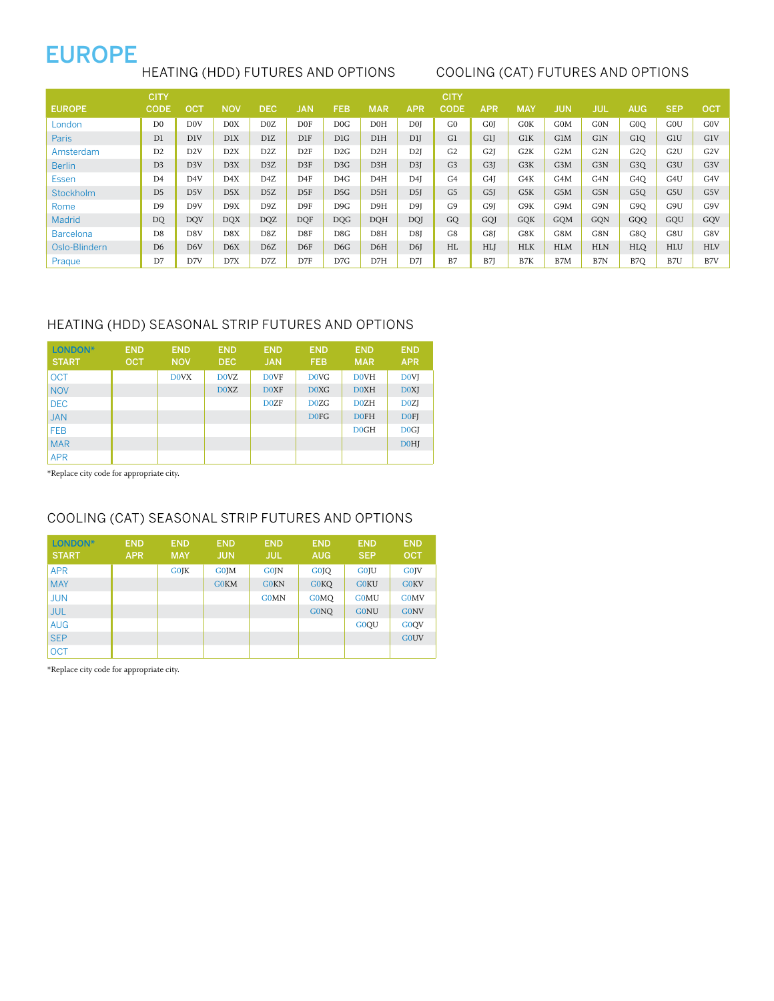## EUROPE

### Heating (HDD) futures and options Cooling (Cat) futures and options

|                  | <b>CITY</b>    |                  |                  |                  |              |            |            |                  | <b>CITY</b>    |                  |                  |                  |            |                  |                  |                  |
|------------------|----------------|------------------|------------------|------------------|--------------|------------|------------|------------------|----------------|------------------|------------------|------------------|------------|------------------|------------------|------------------|
| <b>EUROPE</b>    | <b>CODE</b>    | ост              | <b>NOV</b>       | <b>DEC</b>       | <b>JAN</b>   | <b>FEB</b> | <b>MAR</b> | <b>APR</b>       | <b>CODE</b>    | APR              | <b>MAY</b>       | <b>JUN</b>       | <b>JUL</b> | <b>AUG</b>       | <b>SEP</b>       | OCT              |
| London           | D <sub>0</sub> | DOV              | D0X              | D0Z              | D0F          | D0G        | DOH        | D <sub>0</sub> I | G <sub>0</sub> | G <sub>0</sub> I | G <sub>0</sub> K | G <sub>0</sub> M | G0N        | GOO              | <b>GOU</b>       | G <sub>0</sub> V |
| <b>Paris</b>     | D <sub>1</sub> | D1V              | D1X              | D1Z              | $_{\rm D1F}$ | DIG        | DIH        | D1J              | G1             | G1J              | G1K              | G1M              | G1N        | G1O              | G1U              | G1V              |
| Amsterdam        | D <sub>2</sub> | D <sub>2</sub> V | D2X              | D <sub>2</sub> Z | D2F          | D2G        | D2H        | D <sub>2</sub> I | G <sub>2</sub> | G <sub>2</sub> I | G <sub>2</sub> K | G <sub>2</sub> M | G2N        | G2O              | G <sub>2</sub> U | G2V              |
| <b>Berlin</b>    | D <sub>3</sub> | D <sub>3</sub> V | D <sub>3</sub> X | D <sub>3</sub> Z | D3F          | D3G        | D3H        | D <sub>3</sub> I | G <sub>3</sub> | G3J              | G3K              | G3M              | G3N        | G <sub>3</sub> O | G <sub>3</sub> U | G <sub>3</sub> V |
| Essen            | D <sub>4</sub> | D4V              | D4X              | D4Z              | D4F          | D4G        | D4H        | D <sub>4</sub> I | G <sub>4</sub> | G <sub>4</sub> I | G4K              | G4M              | G4N        | G <sub>4</sub> O | G4U              | G4V              |
| Stockholm        | D <sub>5</sub> | D5V              | DSX              | D <sub>5</sub> Z | D5F          | DSG        | D5H        | D <sub>5</sub> J | G <sub>5</sub> | G5J              | G5K              | G5M              | G5N        | G <sub>5</sub> O | G5U              | G5V              |
| Rome             | D <sub>9</sub> | D <sub>9V</sub>  | D <sub>9</sub> X | D9Z              | D9F          | D9G        | D9H        | D9I              | G <sub>9</sub> | G9I              | G9K              | G9M              | G9N        | G <sub>9</sub> O | G9U              | G9V              |
| Madrid           | <b>DQ</b>      | <b>DQV</b>       | <b>DQX</b>       | <b>DQZ</b>       | <b>DQF</b>   | <b>DQG</b> | DOH        | DOI.             | GQ             | GOI              | <b>GOK</b>       | <b>GOM</b>       | <b>GON</b> | GQQ              | GOU              | GOV              |
| <b>Barcelona</b> | D <sub>8</sub> | D8V              | DSX              | D8Z              | D8F          | D8G        | D8H        | D8I              | G8             | G8I              | G8K              | G8M              | G8N        | G8O              | G8U              | G8V              |
| Oslo-Blindern    | D <sub>6</sub> | D6V              | D6X              | D <sub>6</sub> Z | D6F          | DG         | D6H        | D6J              | HL             | <b>HLJ</b>       | <b>HLK</b>       | <b>HLM</b>       | <b>HLN</b> | <b>HLO</b>       | <b>HLU</b>       | <b>HLV</b>       |
| Praque           | D7             | D7V              | D7X              | D7Z              | D7F          | D7G        | D7H        | D7J              | B7             | B7J              | B7K              | B7M              | B7N        | B7O              | B7U              | B7V              |

### HEATING (HDD) SEASONAL STRIP FUTURES and options

| LONDON*<br><b>START</b> | <b>END</b><br><b>OCT</b> | <b>END</b><br><b>NOV</b> | <b>END</b><br><b>DEC</b> | <b>END</b><br><b>JAN</b> | <b>END</b><br><b>FEB</b>      | <b>END</b><br><b>MAR</b> | <b>END</b><br><b>APR</b> |
|-------------------------|--------------------------|--------------------------|--------------------------|--------------------------|-------------------------------|--------------------------|--------------------------|
| <b>OCT</b>              |                          | <b>DOVX</b>              | <b>DOVZ</b>              | <b>DOVF</b>              | D <sub>0</sub> V <sub>G</sub> | <b>DOVH</b>              | <b>DOVI</b>              |
| <b>NOV</b>              |                          |                          | D0XZ                     | <b>DOXF</b>              | D0XG                          | D0XH                     | <b>D0XI</b>              |
| <b>DEC</b>              |                          |                          |                          | <b>DOZF</b>              | D <sub>0</sub> Z <sub>G</sub> | D0ZH                     | D <sub>0</sub> ZJ        |
| <b>JAN</b>              |                          |                          |                          |                          | D <sub>0</sub> F <sub>G</sub> | <b>DOFH</b>              | <b>DOFI</b>              |
| <b>FEB</b>              |                          |                          |                          |                          |                               | D0GH                     | D <sub>0</sub> GJ        |
| <b>MAR</b>              |                          |                          |                          |                          |                               |                          | <b>DOHJ</b>              |
| <b>APR</b>              |                          |                          |                          |                          |                               |                          |                          |

\*Replace city code for appropriate city.

### COOLING (CAT) SEASONAL STRIP FUTURES and options

| LONDON*<br><b>START</b> | <b>END</b><br><b>APR</b> | <b>END</b><br><b>MAY</b> | <b>END</b><br><b>JUN</b> | <b>END</b><br><b>JUL</b> | <b>END</b><br><b>AUG</b>      | <b>END</b><br><b>SEP</b> | <b>END</b><br><b>OCT</b> |
|-------------------------|--------------------------|--------------------------|--------------------------|--------------------------|-------------------------------|--------------------------|--------------------------|
| <b>APR</b>              |                          | <b>GOJK</b>              | <b>G0JM</b>              | <b>G0JN</b>              | G <sub>0</sub> J <sub>O</sub> | <b>GOJU</b>              | <b>GOJV</b>              |
| <b>MAY</b>              |                          |                          | <b>GOKM</b>              | <b>GOKN</b>              | <b>GOKO</b>                   | <b>G0KU</b>              | <b>GOKV</b>              |
| <b>JUN</b>              |                          |                          |                          | <b>G0MN</b>              | <b>G0MO</b>                   | <b>GOMU</b>              | <b>G0MV</b>              |
| <b>JUL</b>              |                          |                          |                          |                          | <b>GONO</b>                   | <b>GONU</b>              | <b>GONV</b>              |
| <b>AUG</b>              |                          |                          |                          |                          |                               | G0OU                     | G0OV                     |
| <b>SEP</b>              |                          |                          |                          |                          |                               |                          | <b>GOUV</b>              |
| <b>OCT</b>              |                          |                          |                          |                          |                               |                          |                          |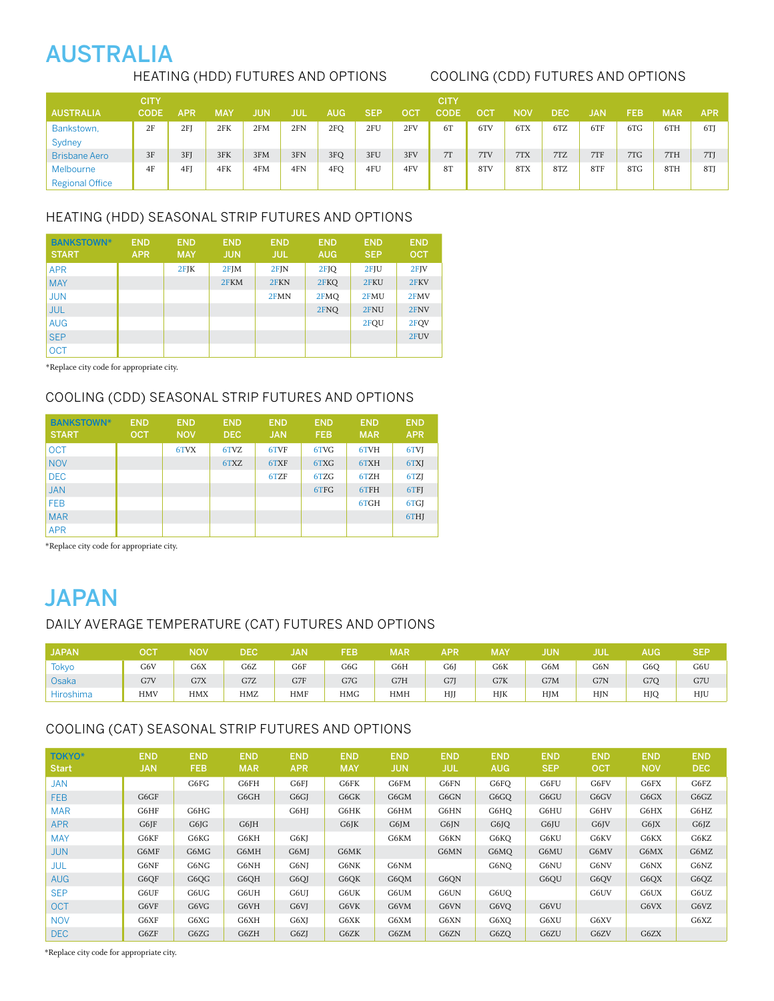# AUSTRALIA

### Heating (HDD) futures AND OPTIONS Cooling (CDD) futures AND OPTIONS

|                        | CITY |     |     |     |     |     |            |     | <b>CITY</b> |     |            |     |            |     |            |            |
|------------------------|------|-----|-----|-----|-----|-----|------------|-----|-------------|-----|------------|-----|------------|-----|------------|------------|
| <b>AUSTRALIA</b>       | CODE | APR | MAY | JUN | JUI | AUG | <b>SEP</b> | OC1 | CODE        | OC' | <b>NOV</b> | DEC | <b>JAN</b> | FEB | <b>MAR</b> | <b>APR</b> |
| Bankstown,             | 2F   | 2FI | 2FK | 2FM | 2FN | 2FQ | 2FU        | 2FV | 6T          | 6TV | 6TX        | 6TZ | 6TF        | 6TG | 6TH        | 6TI        |
| Sydney                 |      |     |     |     |     |     |            |     |             |     |            |     |            |     |            |            |
| <b>Brisbane Aero</b>   | 3F   | 3FJ | 3FK | 3FM | 3FN | 3FQ | 3FU        | 3FV | 7T          | 7TV | 7TX        | 7TZ | 7TF        | 7TG | 7TH        | 7T         |
| Melbourne              | 4F   | 4F  | 4FK | 4FM | 4FN | 4FQ | 4FU        | 4FV | 8T          | 8TV | 8TX        | 8TZ | 8TF        | 8TG | 8TH        | 8TJ        |
| <b>Regional Office</b> |      |     |     |     |     |     |            |     |             |     |            |     |            |     |            |            |

### HEATING (HDD) SEASONAL STRIP FUTURES and options

| <b>BANKSTOWN*</b><br><b>START</b> | <b>END</b><br><b>APR</b> | <b>END</b><br><b>MAY</b> | <b>END</b><br><b>JUN</b> | <b>END</b><br><b>JUL</b> | <b>END</b><br><b>AUG</b> | <b>END</b><br><b>SEP</b> | <b>END</b><br><b>OCT</b> |
|-----------------------------------|--------------------------|--------------------------|--------------------------|--------------------------|--------------------------|--------------------------|--------------------------|
| <b>APR</b>                        |                          | $2$ FJK                  | $2$ FJM                  | $2$ FJN                  | 2FJQ                     | 2FJU                     | $2$ FJV                  |
| <b>MAY</b>                        |                          |                          | 2FKM                     | 2FKN                     | 2FKQ                     | 2FKU                     | 2FKV                     |
| <b>JUN</b>                        |                          |                          |                          | 2FMN                     | 2FMO                     | 2FMU                     | 2FMV                     |
| <b>JUL</b>                        |                          |                          |                          |                          | 2FNO                     | 2FNU                     | 2FNV                     |
| <b>AUG</b>                        |                          |                          |                          |                          |                          | 2FOU                     | 2FOV                     |
| <b>SEP</b>                        |                          |                          |                          |                          |                          |                          | 2FUV                     |
| <b>OCT</b>                        |                          |                          |                          |                          |                          |                          |                          |

\*Replace city code for appropriate city.

### COOLING (CDD) SEASONAL STRIP FUTURES and options

| <b>BANKSTOWN*</b><br><b>START</b> | <b>END</b><br><b>OCT</b> | <b>END</b><br><b>NOV</b> | <b>END</b><br><b>DEC</b> | <b>END</b><br><b>JAN</b> | <b>END</b><br><b>FEB</b> | <b>END</b><br><b>MAR</b> | <b>END</b><br><b>APR</b> |
|-----------------------------------|--------------------------|--------------------------|--------------------------|--------------------------|--------------------------|--------------------------|--------------------------|
| <b>OCT</b>                        |                          | 6TVX                     | 6TVZ                     | 6TVF                     | 6TVG                     | 6TVH                     | 6TVJ                     |
| <b>NOV</b>                        |                          |                          | 6TXZ                     | 6TXF                     | 6TXG                     | 6TXH                     | 6TXJ                     |
| <b>DEC</b>                        |                          |                          |                          | 6TZF                     | 6TZG                     | 6TZH                     | 6TZJ                     |
| <b>JAN</b>                        |                          |                          |                          |                          | 6TFG                     | 6TFH                     | 6TFJ                     |
| <b>FEB</b>                        |                          |                          |                          |                          |                          | 6TGH                     | 6TGJ                     |
| <b>MAR</b>                        |                          |                          |                          |                          |                          |                          | 6THJ                     |
| <b>APR</b>                        |                          |                          |                          |                          |                          |                          |                          |

\*Replace city code for appropriate city.

# **JAPAN**

### DAILY AVERAGE TEMPERATURE (CAT) futures AND OPTIONS

| JAPAN <sub>4</sub> | DC1        | <b>NOV</b> | DEC | JAN        | FEB        | <b>MAR</b> | APR | <b>MAY</b> | JUN | jul        | AUG | SEP |
|--------------------|------------|------------|-----|------------|------------|------------|-----|------------|-----|------------|-----|-----|
| <b>Tokyo</b>       | G6V        | G6X        | G6Z | G6F        | G6G        | G6H        | G6J | G6K        | G6M | G6N        | G6O | G6U |
| Osaka              | G7V        | G7X        | G7Z | G7F        | G7G        | G7H        | G7J | G7K        | G7M | G7N        | G7O | G7U |
| <b>Hiroshima</b>   | <b>HMV</b> | <b>HMX</b> | HMZ | <b>HMF</b> | <b>HMG</b> | <b>HMH</b> | HJJ | HJK        | HJM | <b>HIN</b> | HJC | HJU |

### COOLING (CAT) Seasonal Strip futures and options

| <b>TOKYO*</b><br><b>Start</b> | <b>END</b><br><b>JAN</b> | <b>END</b><br><b>FEB</b> | <b>END</b><br><b>MAR</b> | <b>END</b><br><b>APR</b> | <b>END</b><br><b>MAY</b> | <b>END</b><br><b>JUN</b> | <b>END</b><br><b>JUL</b> | <b>END</b><br><b>AUG</b> | <b>END</b><br><b>SEP</b> | <b>END</b><br><b>OCT</b> | <b>END</b><br><b>NOV</b> | <b>END</b><br><b>DEC</b> |
|-------------------------------|--------------------------|--------------------------|--------------------------|--------------------------|--------------------------|--------------------------|--------------------------|--------------------------|--------------------------|--------------------------|--------------------------|--------------------------|
| <b>JAN</b>                    |                          | G6FG                     | G6FH                     | G6FJ                     | G6FK                     | G6FM                     | G6FN                     | G6FO                     | G6FU                     | G6FV                     | G6FX                     | G6FZ                     |
| <b>FEB</b>                    | G6GF                     |                          | G6GH                     | G6GJ                     | G6GK                     | G6GM                     | G6GN                     | G6GO                     | G6GU                     | G6GV                     | G6GX                     | G6GZ                     |
| <b>MAR</b>                    | G6HF                     | G6HG                     |                          | G6HJ                     | G6HK                     | G6HM                     | G6HN                     | G6HO                     | G6HU                     | G6HV                     | G6HX                     | G6HZ                     |
| <b>APR</b>                    | G6JF                     | G6JG                     | G6JH                     |                          | G6JK                     | G6JM                     | G6JN                     | G6JO                     | G6JU                     | G6JV                     | G6JX                     | $G6$ <sub>IZ</sub>       |
| <b>MAY</b>                    | G6KF                     | G6KG                     | G6KH                     | G6KJ                     |                          | G6KM                     | G6KN                     | G6KO                     | G6KU                     | G6KV                     | G6KX                     | G6KZ                     |
| <b>JUN</b>                    | G6MF                     | G6MG                     | G6MH                     | G6MJ                     | G6MK                     |                          | G6MN                     | G6MO                     | G6MU                     | G6MV                     | G6MX                     | G6MZ                     |
| <b>JUL</b>                    | G6NF                     | G6NG                     | G6NH                     | G6NJ                     | G6NK                     | G6NM                     |                          | G6NO                     | G6NU                     | G6NV                     | G6NX                     | G6NZ                     |
| <b>AUG</b>                    | G6OF                     | G6QG                     | G6OH                     | G6QJ                     | G6OK                     | G6OM                     | G6ON                     |                          | G6OU                     | G6OV                     | G6QX                     | G6QZ                     |
| <b>SEP</b>                    | G6UF                     | G6UG                     | G6UH                     | G6UJ                     | G6UK                     | G6UM                     | G6UN                     | G6UO                     |                          | G6UV                     | G6UX                     | G6UZ                     |
| <b>OCT</b>                    | G6VF                     | G6VG                     | G6VH                     | G6VJ                     | G6VK                     | G6VM                     | G6VN                     | G6VO                     | G6VU                     |                          | G6VX                     | G6VZ                     |
| <b>NOV</b>                    | G6XF                     | G6XG                     | G6XH                     | G6XJ                     | G6XK                     | G6XM                     | G6XN                     | G6XO                     | G6XU                     | G6XV                     |                          | G6XZ                     |
| <b>DEC</b>                    | G6ZF                     | G6ZG                     | G6ZH                     | G6ZJ                     | G6ZK                     | G6ZM                     | G6ZN                     | G6ZO                     | G6ZU                     | G6ZV                     | G6ZX                     |                          |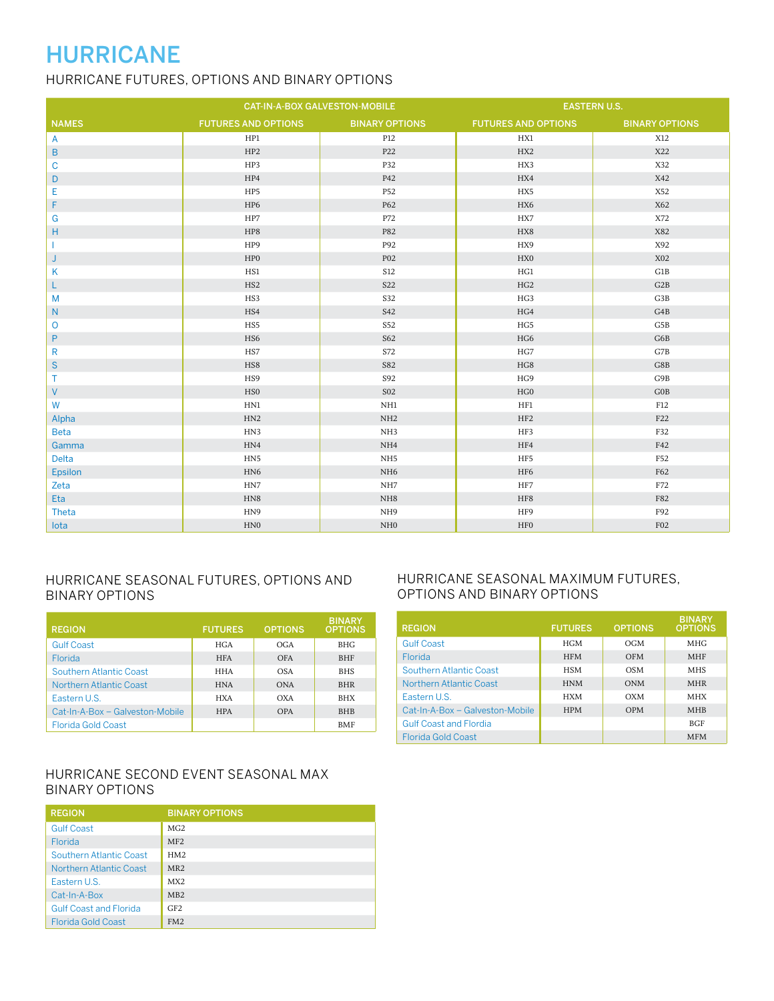# HURRICANE

### HURRICANE futures, OPTIONS And Binary Options

|                |                            | CAT-IN-A-BOX GALVESTON-MOBILE |                            | <b>EASTERN U.S.</b>   |  |  |
|----------------|----------------------------|-------------------------------|----------------------------|-----------------------|--|--|
| <b>NAMES</b>   | <b>FUTURES AND OPTIONS</b> | <b>BINARY OPTIONS</b>         | <b>FUTURES AND OPTIONS</b> | <b>BINARY OPTIONS</b> |  |  |
| A              | HP1                        | P12                           | HX1                        | X12                   |  |  |
| B              | HP <sub>2</sub>            | P22                           | HX2                        | X22                   |  |  |
| C              | HP3                        | P32                           | HX3                        | X32                   |  |  |
| D              | HP4                        | P42                           | HX4                        | X42                   |  |  |
| E              | HP5                        | P52                           | HX5                        | X52                   |  |  |
| F              | HP6                        | P62                           | HX6                        | X62                   |  |  |
| G              | HP7                        | P72                           | HX7                        | X72                   |  |  |
| н              | HP8                        | P82                           | HX8                        | X82                   |  |  |
|                | HP9                        | P92                           | HX9                        | X92                   |  |  |
| J              | HP0                        | <b>P02</b>                    | HX0                        | X02                   |  |  |
| Κ              | HS1                        | S12                           | HG1                        | G1B                   |  |  |
| L              | HS <sub>2</sub>            | S <sub>22</sub>               | HG <sub>2</sub>            | G2B                   |  |  |
| M              | HS3                        | S32                           | HG3                        | G3B                   |  |  |
| N              | HS4                        | S42                           | HG4                        | G4B                   |  |  |
| O              | HS5                        | S52                           | HG5                        | G5B                   |  |  |
| P              | HS6                        | S62                           | HG6                        | G6B                   |  |  |
| R              | HS7                        | S72                           | HG7                        | G7B                   |  |  |
| ${\sf S}$      | HS8                        | S82                           | HG8                        | $_{\rm{G8B}}$         |  |  |
| T.             | HS9                        | S92                           | HG9                        | G9B                   |  |  |
| V              | HS0                        | <b>S02</b>                    | HG0                        | GOB                   |  |  |
| W              | HN1                        | NH1                           | HF1                        | F12                   |  |  |
| Alpha          | HN2                        | NH2                           | HF <sub>2</sub>            | F22                   |  |  |
| <b>Beta</b>    | HN3                        | NH3                           | HF3                        | F32                   |  |  |
| Gamma          | HN4                        | NH <sub>4</sub>               | HF4                        | F42                   |  |  |
| <b>Delta</b>   | HN5                        | NH5                           | HF5                        | F52                   |  |  |
| <b>Epsilon</b> | HN <sub>6</sub>            | NH <sub>6</sub>               | HF6                        | F62                   |  |  |
| Zeta           | $\rm H N7$                 | NH7                           | HF7                        | F72                   |  |  |
| Eta            | H <sub>N</sub> 8           | $_{\rm NH8}$                  | HF8                        | F82                   |  |  |
| Theta          | HN9                        | NH <sub>9</sub>               | HF9                        | F92                   |  |  |
| lota           | HNO                        | NH <sub>0</sub>               | HF0                        | F02                   |  |  |

### HURRICANE seasonal FUTURES, options and binary options

| <b>REGION</b>                   | <b>FUTURES</b> | <b>OPTIONS</b> | <b>BINARY</b><br><b>OPTIONS</b> |
|---------------------------------|----------------|----------------|---------------------------------|
| <b>Gulf Coast</b>               | <b>HGA</b>     | OGA            | <b>BHG</b>                      |
| Florida                         | <b>HFA</b>     | <b>OFA</b>     | <b>BHF</b>                      |
| Southern Atlantic Coast         | <b>HHA</b>     | <b>OSA</b>     | <b>BHS</b>                      |
| Northern Atlantic Coast         | <b>HNA</b>     | <b>ONA</b>     | <b>BHR</b>                      |
| Eastern U.S.                    | <b>HXA</b>     | OXA            | <b>BHX</b>                      |
| Cat-In-A-Box - Galveston-Mobile | <b>HPA</b>     | <b>OPA</b>     | <b>BHB</b>                      |
| <b>Florida Gold Coast</b>       |                |                | <b>BMF</b>                      |

### Hurricane Second Event Seasonal Max Binary Options

| <b>REGION</b>                  | <b>BINARY OPTIONS</b>       |
|--------------------------------|-----------------------------|
| <b>Gulf Coast</b>              | MG <sub>2</sub>             |
| Florida                        | MF2                         |
| <b>Southern Atlantic Coast</b> | HM2                         |
| <b>Northern Atlantic Coast</b> | MR <sub>2</sub>             |
| Eastern U.S.                   | MX2                         |
| Cat-In-A-Box                   | M <sub>B</sub> <sub>2</sub> |
| <b>Gulf Coast and Florida</b>  | GF2                         |
| <b>Florida Gold Coast</b>      | FM2                         |

### HURRICANE seasonal maximum FUTURES, options and binary options

| <b>REGION</b>                   | <b>FUTURES</b> | <b>OPTIONS</b> | <b>BINARY</b><br><b>OPTIONS</b> |
|---------------------------------|----------------|----------------|---------------------------------|
| <b>Gulf Coast</b>               | <b>HGM</b>     | OGM            | <b>MHG</b>                      |
| <b>Florida</b>                  | <b>HFM</b>     | <b>OFM</b>     | <b>MHF</b>                      |
| Southern Atlantic Coast         | <b>HSM</b>     | <b>OSM</b>     | <b>MHS</b>                      |
| Northern Atlantic Coast         | <b>HNM</b>     | <b>ONM</b>     | <b>MHR</b>                      |
| Eastern U.S.                    | <b>HXM</b>     | OXM            | <b>MHX</b>                      |
| Cat-In-A-Box - Galveston-Mobile | <b>HPM</b>     | <b>OPM</b>     | <b>MHB</b>                      |
| <b>Gulf Coast and Elordia</b>   |                |                | <b>BGF</b>                      |
| <b>Florida Gold Coast</b>       |                |                | <b>MFM</b>                      |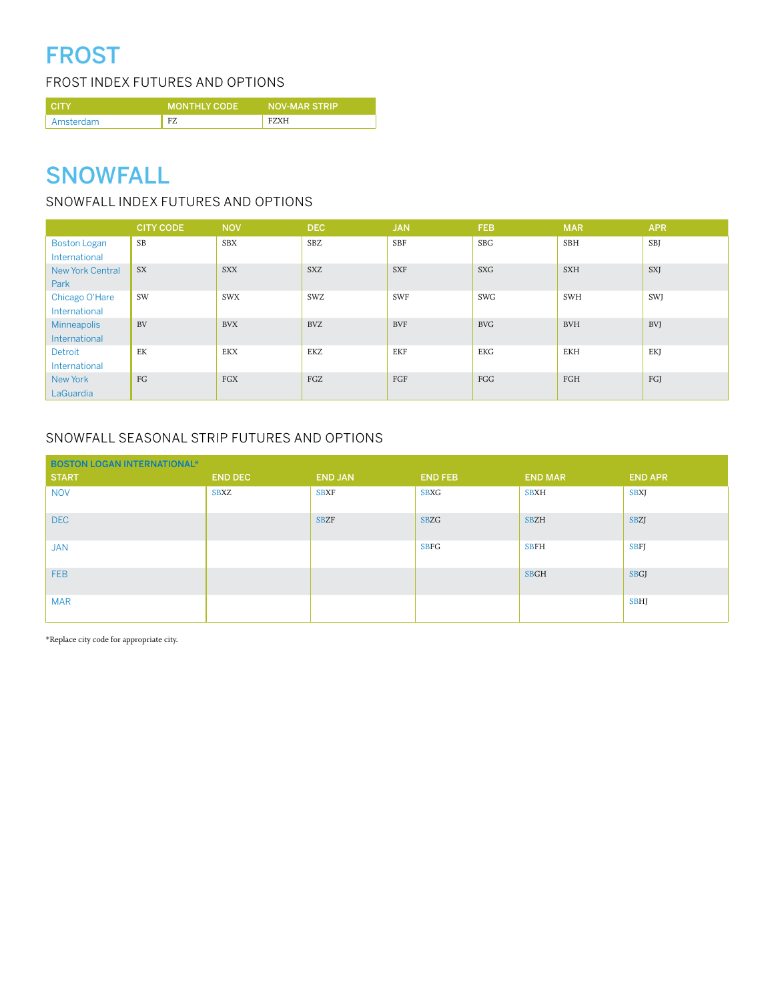# FROST

frost INDEX futures AND OPTIONS

| <b>CITY</b> | <b>MONTHLY CODE</b> | <b>NOV-MAR STRIP</b> |
|-------------|---------------------|----------------------|
| Amsterdam   | <b>E7</b>           | F7YH                 |

## **SNOWFALL**

### SNOWFALL INDEX FUTURES AND OPTIONS

|                         | <b>CITY CODE</b> | <b>NOV</b>   | DEC.       | <b>JAN</b> | <b>FEB</b>   | <b>MAR</b> | <b>APR</b> |
|-------------------------|------------------|--------------|------------|------------|--------------|------------|------------|
| <b>Boston Logan</b>     | SB               | <b>SBX</b>   | <b>SBZ</b> | SBF        | <b>SBG</b>   | <b>SBH</b> | SBJ        |
| International           |                  |              |            |            |              |            |            |
| <b>New York Central</b> | <b>SX</b>        | <b>SXX</b>   | <b>SXZ</b> | <b>SXF</b> | <b>SXG</b>   | <b>SXH</b> | <b>SXI</b> |
| Park                    |                  |              |            |            |              |            |            |
| Chicago O'Hare          | SW               | <b>SWX</b>   | SWZ        | SWF        | <b>SWG</b>   | <b>SWH</b> | SWJ        |
| International           |                  |              |            |            |              |            |            |
| <b>Minneapolis</b>      | <b>BV</b>        | <b>BVX</b>   | <b>BVZ</b> | <b>BVF</b> | <b>BVG</b>   | <b>BVH</b> | <b>BVJ</b> |
| International           |                  |              |            |            |              |            |            |
| Detroit                 | EK               | <b>EKX</b>   | EKZ        | <b>EKF</b> | EKG          | <b>EKH</b> | EKJ        |
| International           |                  |              |            |            |              |            |            |
| New York                | FG               | $_{\rm FGX}$ | FGZ        | FGF        | $_{\rm FGG}$ | FGH        | FGJ        |
| LaGuardia               |                  |              |            |            |              |            |            |

### SNOWFALL SEASONAL STRIP FUTURES AND OPTIONS

| <b>BOSTON LOGAN INTERNATIONAL*</b> |                |                |                |                |                |
|------------------------------------|----------------|----------------|----------------|----------------|----------------|
| <b>START</b>                       | <b>END DEC</b> | <b>END JAN</b> | <b>END FEB</b> | <b>END MAR</b> | <b>END APR</b> |
| <b>NOV</b>                         | <b>SBXZ</b>    | <b>SBXF</b>    | <b>SBXG</b>    | <b>SBXH</b>    | <b>SBXJ</b>    |
| DEC                                |                | <b>SBZF</b>    | <b>SBZG</b>    | <b>SBZH</b>    | <b>SBZJ</b>    |
| <b>JAN</b>                         |                |                | <b>SBFG</b>    | <b>SBFH</b>    | <b>SBFJ</b>    |
| <b>FEB</b>                         |                |                |                | <b>SBGH</b>    | <b>SBGJ</b>    |
| <b>MAR</b>                         |                |                |                |                | <b>SBHJ</b>    |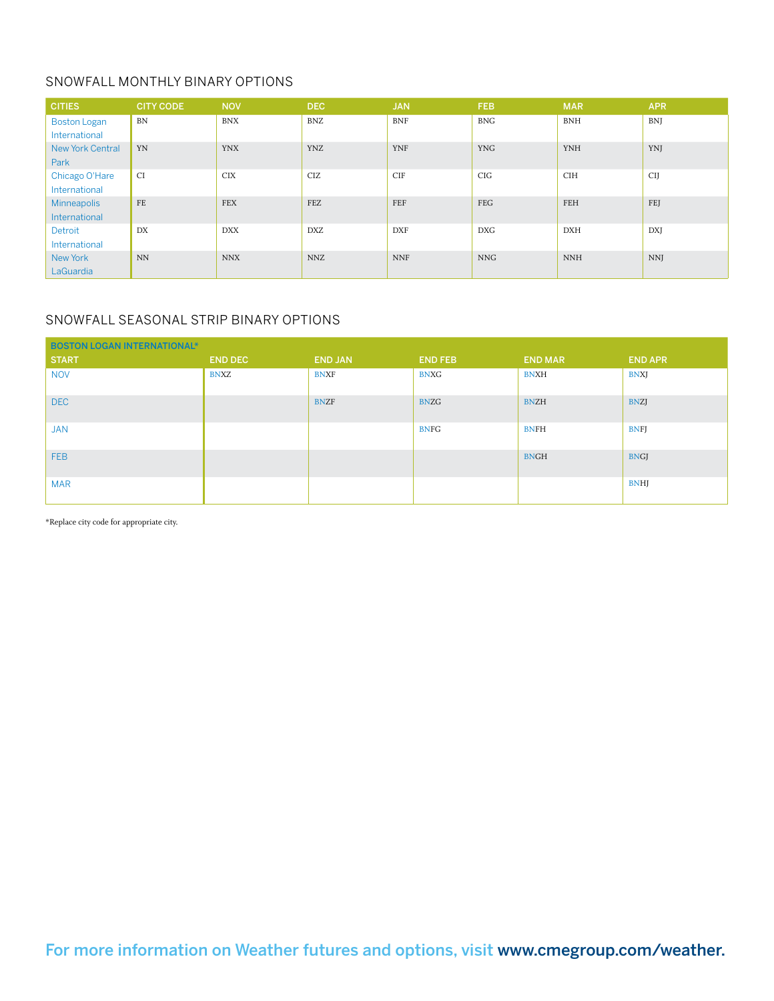### SNOWFALL MONTHLY BINARY OPTIONS

| <b>CITIES</b>           | <b>CITY CODE</b> | <b>NOV</b> | <b>DEC</b> | <b>JAN</b> | <b>FEB</b> | <b>MAR</b> | <b>APR</b> |
|-------------------------|------------------|------------|------------|------------|------------|------------|------------|
| <b>Boston Logan</b>     | <b>BN</b>        | <b>BNX</b> | <b>BNZ</b> | <b>BNF</b> | <b>BNG</b> | <b>BNH</b> | <b>BNJ</b> |
| International           |                  |            |            |            |            |            |            |
| <b>New York Central</b> | YN               | <b>YNX</b> | <b>YNZ</b> | <b>YNF</b> | <b>YNG</b> | <b>YNH</b> | YNJ        |
| Park                    |                  |            |            |            |            |            |            |
| Chicago O'Hare          | CI               | <b>CIX</b> | CIZ        | <b>CIF</b> | <b>CIG</b> | <b>CIH</b> | <b>CII</b> |
| International           |                  |            |            |            |            |            |            |
| <b>Minneapolis</b>      | FE               | <b>FEX</b> | FEZ        | FEF        | FEG        | FEH        | FEJ        |
| International           |                  |            |            |            |            |            |            |
| Detroit                 | DX               | DXX        | <b>DXZ</b> | <b>DXF</b> | DXG        | <b>DXH</b> | <b>DX</b>  |
| International           |                  |            |            |            |            |            |            |
| New York                | <b>NN</b>        | <b>NNX</b> | <b>NNZ</b> | <b>NNF</b> | <b>NNG</b> | <b>NNH</b> | <b>NNJ</b> |
| LaGuardia               |                  |            |            |            |            |            |            |

### SNOWFALL SEASONAL STRIP BINARY OPTIONS

| <b>BOSTON LOGAN INTERNATIONAL*</b> |                |                |                |                |                |  |  |  |  |
|------------------------------------|----------------|----------------|----------------|----------------|----------------|--|--|--|--|
| <b>START</b>                       | <b>END DEC</b> | <b>END JAN</b> | <b>END FEB</b> | <b>END MAR</b> | <b>END APR</b> |  |  |  |  |
| <b>NOV</b>                         | <b>BNXZ</b>    | <b>BNXF</b>    | <b>BNXG</b>    | <b>BNXH</b>    | <b>BNXJ</b>    |  |  |  |  |
| DEC                                |                | <b>BNZF</b>    | <b>BNZG</b>    | <b>BNZH</b>    | <b>BNZJ</b>    |  |  |  |  |
| <b>JAN</b>                         |                |                | <b>BNFG</b>    | <b>BNFH</b>    | <b>BNFJ</b>    |  |  |  |  |
| <b>FEB</b>                         |                |                |                | <b>BNGH</b>    | <b>BNGJ</b>    |  |  |  |  |
| <b>MAR</b>                         |                |                |                |                | <b>BNHJ</b>    |  |  |  |  |